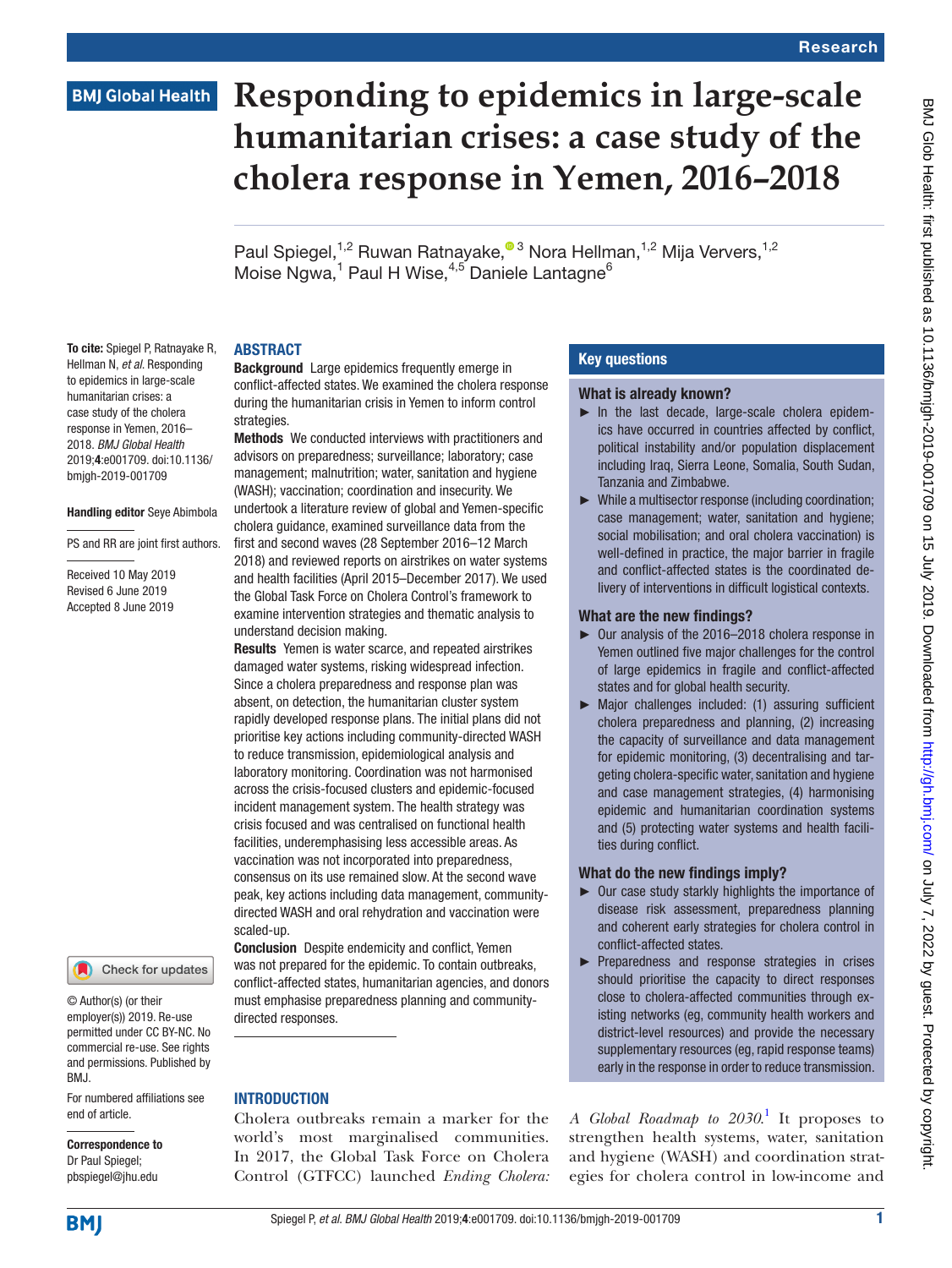# Research

# **BMJ Global Health**

# **Responding to epidemics in large-scale humanitarian crises: a case study of the cholera response in Yemen, 2016–2018**

Paul Spiegel[,](http://orcid.org/0000-0003-4978-6668)<sup>1,2</sup> Ruwan Ratnayake,<sup>® 3</sup> Nora Hellman,<sup>1,2</sup> Mija Ververs,<sup>1,2</sup> Moise Ngwa,<sup>1</sup> Paul H Wise, $4.5$  Daniele Lantagne $^6$ 

#### **ABSTRACT**

To cite: Spiegel P, Ratnayake R, Hellman N, *et al*. Responding to epidemics in large-scale humanitarian crises: a case study of the cholera response in Yemen, 2016– 2018. *BMJ Global Health* 2019;4:e001709. doi:10.1136/ bmjgh-2019-001709

#### Handling editor Seye Abimbola

PS and RR are joint first authors.

Received 10 May 2019 Revised 6 June 2019 Accepted 8 June 2019



© Author(s) (or their employer(s)) 2019. Re-use permitted under CC BY-NC. No commercial re-use. See rights and permissions. Published by BMJ.

For numbered affiliations see end of article.

Correspondence to Dr Paul Spiegel; pbspiegel@jhu.edu

Background Large epidemics frequently emerge in conflict-affected states. We examined the cholera response during the humanitarian crisis in Yemen to inform control strategies.

Methods We conducted interviews with practitioners and advisors on preparedness; surveillance; laboratory; case management; malnutrition; water, sanitation and hygiene (WASH); vaccination; coordination and insecurity. We undertook a literature review of global and Yemen-specific cholera guidance, examined surveillance data from the first and second waves (28 September 2016–12 March 2018) and reviewed reports on airstrikes on water systems and health facilities (April 2015–December 2017). We used the Global Task Force on Cholera Control's framework to examine intervention strategies and thematic analysis to understand decision making.

Results Yemen is water scarce, and repeated airstrikes damaged water systems, risking widespread infection. Since a cholera preparedness and response plan was absent, on detection, the humanitarian cluster system rapidly developed response plans. The initial plans did not prioritise key actions including community-directed WASH to reduce transmission, epidemiological analysis and laboratory monitoring. Coordination was not harmonised across the crisis-focused clusters and epidemic-focused incident management system. The health strategy was crisis focused and was centralised on functional health facilities, underemphasising less accessible areas. As vaccination was not incorporated into preparedness, consensus on its use remained slow. At the second wave peak, key actions including data management, communitydirected WASH and oral rehydration and vaccination were scaled-up.

Conclusion Despite endemicity and conflict, Yemen was not prepared for the epidemic. To contain outbreaks, conflict-affected states, humanitarian agencies, and donors must emphasise preparedness planning and communitydirected responses.

#### **INTRODUCTION**

Cholera outbreaks remain a marker for the world's most marginalised communities. In 2017, the Global Task Force on Cholera Control (GTFCC) launched *Ending Cholera:* 

### Key questions

#### What is already known?

- ► In the last decade, large-scale cholera epidemics have occurred in countries affected by conflict, political instability and/or population displacement including Iraq, Sierra Leone, Somalia, South Sudan, Tanzania and Zimbabwe.
- ► While a multisector response (including coordination; case management; water, sanitation and hygiene; social mobilisation; and oral cholera vaccination) is well-defined in practice, the major barrier in fragile and conflict-affected states is the coordinated delivery of interventions in difficult logistical contexts.

#### What are the new findings?

- ► Our analysis of the 2016–2018 cholera response in Yemen outlined five major challenges for the control of large epidemics in fragile and conflict-affected states and for global health security.
- ► Major challenges included: (1) assuring sufficient cholera preparedness and planning, (2) increasing the capacity of surveillance and data management for epidemic monitoring, (3) decentralising and targeting cholera-specific water, sanitation and hygiene and case management strategies, (4) harmonising epidemic and humanitarian coordination systems and (5) protecting water systems and health facilities during conflict.

#### What do the new findings imply?

- ► Our case study starkly highlights the importance of disease risk assessment, preparedness planning and coherent early strategies for cholera control in conflict-affected states.
- ► Preparedness and response strategies in crises should prioritise the capacity to direct responses close to cholera-affected communities through existing networks (eg, community health workers and district-level resources) and provide the necessary supplementary resources (eg, rapid response teams) early in the response in order to reduce transmission.

A *Global Roadmap to 2030*.<sup>[1](#page-9-0)</sup> It proposes to strengthen health systems, water, sanitation and hygiene (WASH) and coordination strategies for cholera control in low-income and

**BMI**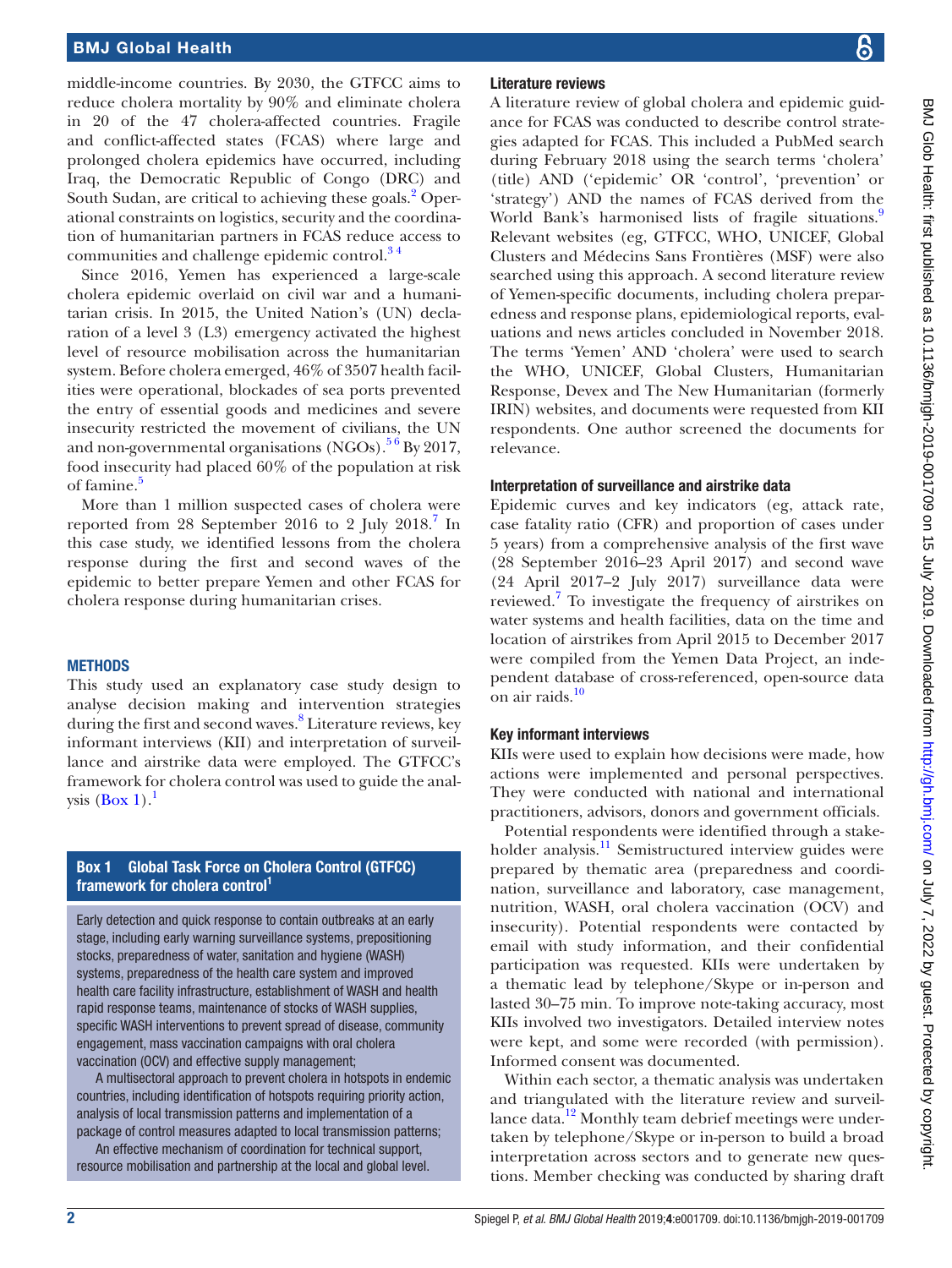middle-income countries. By 2030, the GTFCC aims to reduce cholera mortality by 90% and eliminate cholera in 20 of the 47 cholera-affected countries. Fragile and conflict-affected states (FCAS) where large and prolonged cholera epidemics have occurred, including Iraq, the Democratic Republic of Congo (DRC) and South Sudan, are critical to achieving these goals.<sup>2</sup> Operational constraints on logistics, security and the coordination of humanitarian partners in FCAS reduce access to communities and challenge epidemic control.<sup>34</sup>

Since 2016, Yemen has experienced a large-scale cholera epidemic overlaid on civil war and a humanitarian crisis. In 2015, the United Nation's (UN) declaration of a level 3 (L3) emergency activated the highest level of resource mobilisation across the humanitarian system. Before cholera emerged, 46% of 3507 health facilities were operational, blockades of sea ports prevented the entry of essential goods and medicines and severe insecurity restricted the movement of civilians, the UN and non-governmental organisations  $(NGOs)$ .<sup>56</sup> By 2017, food insecurity had placed 60% of the population at risk of famine.<sup>[5](#page-9-3)</sup>

More than 1 million suspected cases of cholera were reported from 28 September 2016 to 2 July 2018.<sup>[7](#page-9-4)</sup> In this case study, we identified lessons from the cholera response during the first and second waves of the epidemic to better prepare Yemen and other FCAS for cholera response during humanitarian crises.

#### **METHODS**

This study used an explanatory case study design to analyse decision making and intervention strategies during the first and second waves.<sup>[8](#page-9-5)</sup> Literature reviews, key informant interviews (KII) and interpretation of surveillance and airstrike data were employed. The GTFCC's framework for cholera control was used to guide the analysis  $(Box 1).<sup>1</sup>$  $(Box 1).<sup>1</sup>$  $(Box 1).<sup>1</sup>$  $(Box 1).<sup>1</sup>$ 

# Box 1 Global Task Force on Cholera Control (GTFCC) framework for cholera control<sup>1</sup>

<span id="page-1-0"></span>Early detection and quick response to contain outbreaks at an early stage, including early warning surveillance systems, prepositioning stocks, preparedness of water, sanitation and hygiene (WASH) systems, preparedness of the health care system and improved health care facility infrastructure, establishment of WASH and health rapid response teams, maintenance of stocks of WASH supplies, specific WASH interventions to prevent spread of disease, community engagement, mass vaccination campaigns with oral cholera vaccination (OCV) and effective supply management;

A multisectoral approach to prevent cholera in hotspots in endemic countries, including identification of hotspots requiring priority action, analysis of local transmission patterns and implementation of a package of control measures adapted to local transmission patterns;

An effective mechanism of coordination for technical support, resource mobilisation and partnership at the local and global level.

### Literature reviews

A literature review of global cholera and epidemic guidance for FCAS was conducted to describe control strategies adapted for FCAS. This included a PubMed search during February 2018 using the search terms 'cholera' (title) AND ('epidemic' OR 'control', 'prevention' or 'strategy') AND the names of FCAS derived from the World Bank's harmonised lists of fragile situations.<sup>[9](#page-9-6)</sup> Relevant websites (eg, GTFCC, WHO, UNICEF, Global Clusters and Médecins Sans Frontières (MSF) were also searched using this approach. A second literature review of Yemen-specific documents, including cholera preparedness and response plans, epidemiological reports, evaluations and news articles concluded in November 2018. The terms 'Yemen' AND 'cholera' were used to search the WHO, UNICEF, Global Clusters, Humanitarian Response, Devex and The New Humanitarian (formerly IRIN) websites, and documents were requested from KII respondents. One author screened the documents for relevance.

#### Interpretation of surveillance and airstrike data

Epidemic curves and key indicators (eg, attack rate, case fatality ratio (CFR) and proportion of cases under 5 years) from a comprehensive analysis of the first wave (28 September 2016–23 April 2017) and second wave (24 April 2017–2 July 2017) surveillance data were reviewed.<sup>[7](#page-9-4)</sup> To investigate the frequency of airstrikes on water systems and health facilities, data on the time and location of airstrikes from April 2015 to December 2017 were compiled from the Yemen Data Project, an independent database of cross-referenced, open-source data on air raids.[10](#page-9-7)

#### Key informant interviews

KIIs were used to explain how decisions were made, how actions were implemented and personal perspectives. They were conducted with national and international practitioners, advisors, donors and government officials.

Potential respondents were identified through a stakeholder analysis.<sup>11</sup> Semistructured interview guides were prepared by thematic area (preparedness and coordination, surveillance and laboratory, case management, nutrition, WASH, oral cholera vaccination (OCV) and insecurity). Potential respondents were contacted by email with study information, and their confidential participation was requested. KIIs were undertaken by a thematic lead by telephone/Skype or in-person and lasted 30–75 min. To improve note-taking accuracy, most KIIs involved two investigators. Detailed interview notes were kept, and some were recorded (with permission). Informed consent was documented.

Within each sector, a thematic analysis was undertaken and triangulated with the literature review and surveillance data.<sup>12</sup> Monthly team debrief meetings were undertaken by telephone/Skype or in-person to build a broad interpretation across sectors and to generate new questions. Member checking was conducted by sharing draft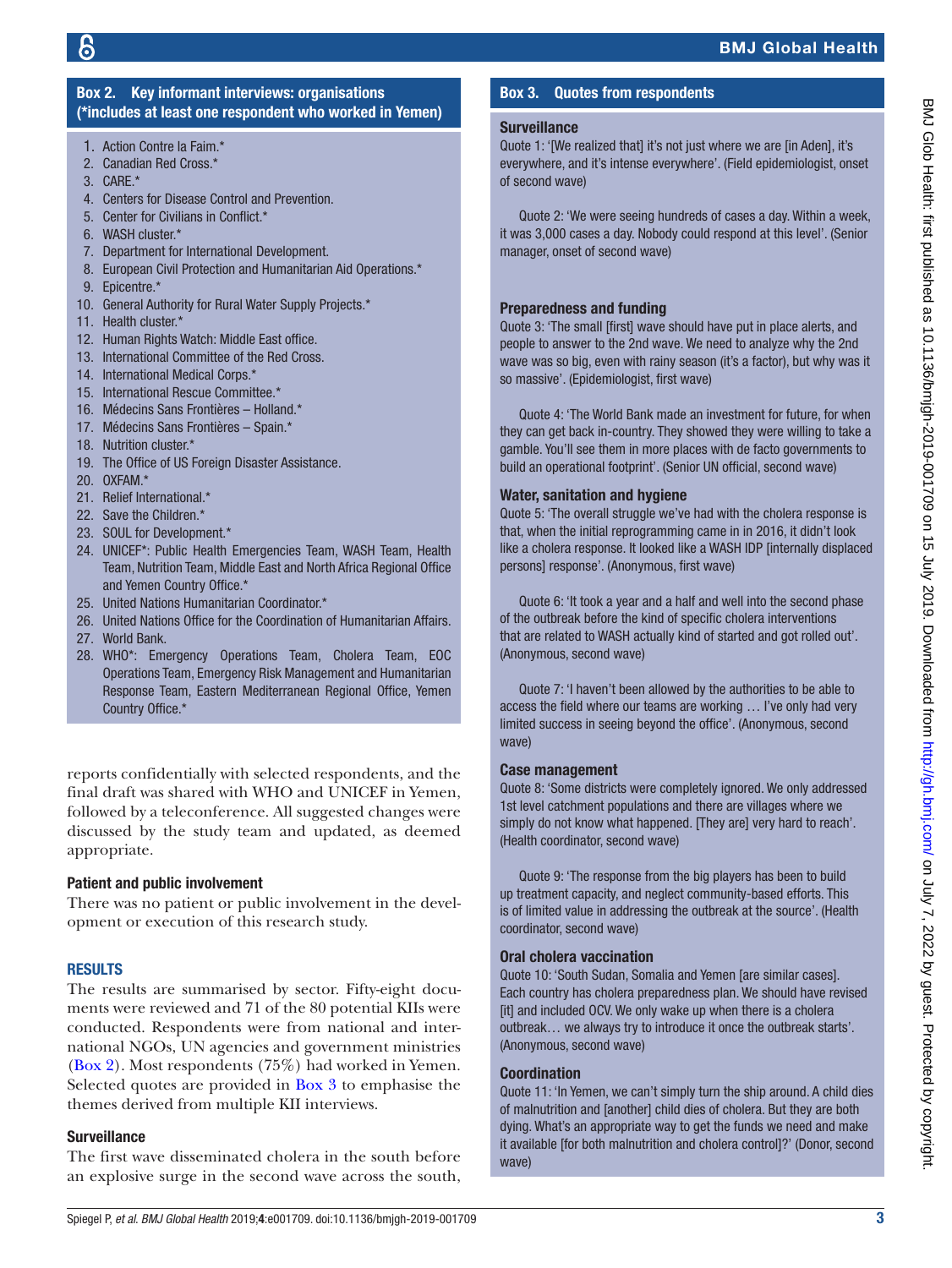# Box 2. Key informant interviews: organisations (\*includes at least one respondent who worked in Yemen)

- <span id="page-2-0"></span>1. Action Contre la Faim.\*
- 2. Canadian Red Cross.\*
- 3. CARE.\*
- 4. Centers for Disease Control and Prevention.
- 5. Center for Civilians in Conflict.\*
- 6. WASH cluster.\*
- 7. Department for International Development.
- 8. European Civil Protection and Humanitarian Aid Operations.\*
- 9. Epicentre.\*
- 10. General Authority for Rural Water Supply Projects.\*
- 11. Health cluster.\*
- 12. Human Rights Watch: Middle East office.
- 13. International Committee of the Red Cross.
- 14. International Medical Corps.\*
- 15. International Rescue Committee.\*
- 16. Médecins Sans Frontières Holland.\*
- 17. Médecins Sans Frontières Spain.\*
- 18. Nutrition cluster.\*
- 19. The Office of US Foreign Disaster Assistance.
- 20. OXFAM.\*
- 21. Relief International.\*
- 22. Save the Children.\*
- 23. SOUL for Development.\*
- 24. UNICEF\*: Public Health Emergencies Team, WASH Team, Health Team, Nutrition Team, Middle East and North Africa Regional Office and Yemen Country Office.\*
- 25. United Nations Humanitarian Coordinator.\*
- 26. United Nations Office for the Coordination of Humanitarian Affairs.
- 27. World Bank.
- 28. WHO\*: Emergency Operations Team, Cholera Team, EOC Operations Team, Emergency Risk Management and Humanitarian Response Team, Eastern Mediterranean Regional Office, Yemen Country Office.\*

reports confidentially with selected respondents, and the final draft was shared with WHO and UNICEF in Yemen, followed by a teleconference. All suggested changes were discussed by the study team and updated, as deemed appropriate.

# Patient and public involvement

There was no patient or public involvement in the development or execution of this research study.

# **RESULTS**

The results are summarised by sector. Fifty-eight documents were reviewed and 71 of the 80 potential KIIs were conducted. Respondents were from national and international NGOs, UN agencies and government ministries [\(Box](#page-2-0) 2). Most respondents (75%) had worked in Yemen. Selected quotes are provided in [Box](#page-2-1) 3 to emphasise the themes derived from multiple KII interviews.

# Surveillance

The first wave disseminated cholera in the south before an explosive surge in the second wave across the south,

# Box 3. Quotes from respondents

# <span id="page-2-1"></span>**Surveillance**

Quote 1: '[We realized that] it's not just where we are [in Aden], it's everywhere, and it's intense everywhere'. (Field epidemiologist, onset of second wave)

Quote 2: 'We were seeing hundreds of cases a day. Within a week, it was 3,000 cases a day. Nobody could respond at this level'. (Senior manager, onset of second wave)

# Preparedness and funding

Quote 3: 'The small [first] wave should have put in place alerts, and people to answer to the 2nd wave. We need to analyze why the 2nd wave was so big, even with rainy season (it's a factor), but why was it so massive'. (Epidemiologist, first wave)

Quote 4: 'The World Bank made an investment for future, for when they can get back in-country. They showed they were willing to take a gamble. You'll see them in more places with de facto governments to build an operational footprint'. (Senior UN official, second wave)

# Water, sanitation and hygiene

Quote 5: 'The overall struggle we've had with the cholera response is that, when the initial reprogramming came in in 2016, it didn't look like a cholera response. It looked like a WASH IDP [internally displaced persons] response'. (Anonymous, first wave)

Quote 6: 'It took a year and a half and well into the second phase of the outbreak before the kind of specific cholera interventions that are related to WASH actually kind of started and got rolled out'. (Anonymous, second wave)

Quote 7: 'I haven't been allowed by the authorities to be able to access the field where our teams are working … I've only had very limited success in seeing beyond the office'. (Anonymous, second wave)

# Case management

Quote 8: 'Some districts were completely ignored. We only addressed 1st level catchment populations and there are villages where we simply do not know what happened. [They are] very hard to reach'. (Health coordinator, second wave)

Quote 9: 'The response from the big players has been to build up treatment capacity, and neglect community-based efforts. This is of limited value in addressing the outbreak at the source'. (Health coordinator, second wave)

# Oral cholera vaccination

Quote 10: 'South Sudan, Somalia and Yemen [are similar cases]. Each country has cholera preparedness plan. We should have revised [it] and included OCV. We only wake up when there is a cholera outbreak… we always try to introduce it once the outbreak starts'. (Anonymous, second wave)

# Coordination

Quote 11: 'In Yemen, we can't simply turn the ship around. A child dies of malnutrition and [another] child dies of cholera. But they are both dying. What's an appropriate way to get the funds we need and make it available [for both malnutrition and cholera control]?' (Donor, second wave)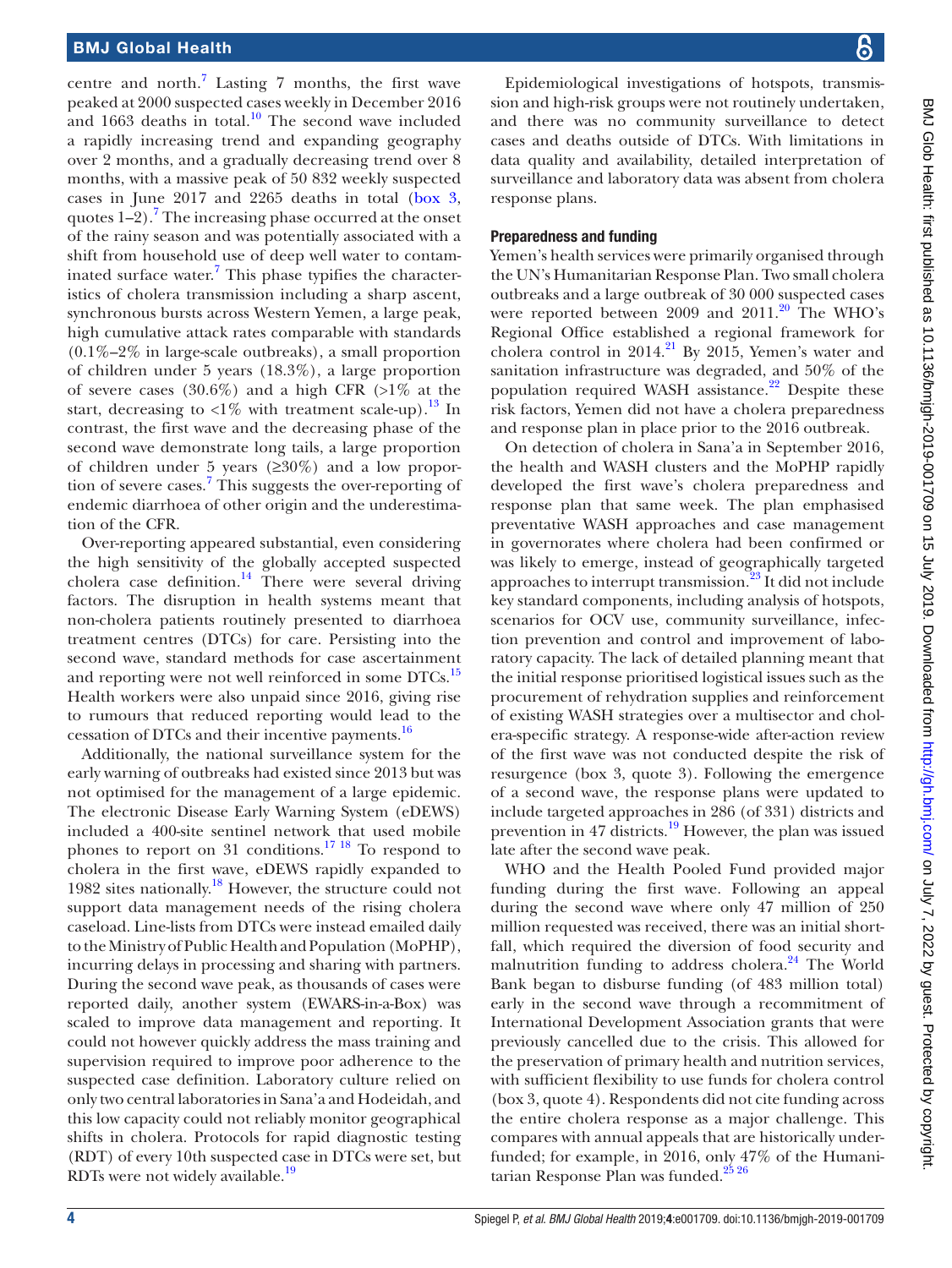centre and north.<sup>[7](#page-9-4)</sup> Lasting 7 months, the first wave peaked at 2000 suspected cases weekly in December 2016 and  $1663$  deaths in total.<sup>10</sup> The second wave included a rapidly increasing trend and expanding geography over 2 months, and a gradually decreasing trend over 8 months, with a massive peak of 50 832 weekly suspected cases in June 2017 and 2265 deaths in total [\(box](#page-2-1) 3, quotes  $1-2$ ).<sup>[7](#page-9-4)</sup> The increasing phase occurred at the onset of the rainy season and was potentially associated with a shift from household use of deep well water to contam-inated surface water.<sup>[7](#page-9-4)</sup> This phase typifies the characteristics of cholera transmission including a sharp ascent, synchronous bursts across Western Yemen, a large peak, high cumulative attack rates comparable with standards  $(0.1\% - 2\%$  in large-scale outbreaks), a small proportion of children under 5 years (18.3%), a large proportion of severe cases (30.6%) and a high CFR ( $>1\%$  at the start, decreasing to  $\langle 1\% \rangle$  with treatment scale-up).<sup>13</sup> In contrast, the first wave and the decreasing phase of the second wave demonstrate long tails, a large proportion of children under 5 years ( $\geq 30\%$ ) and a low proportion of severe cases.[7](#page-9-4) This suggests the over-reporting of endemic diarrhoea of other origin and the underestimation of the CFR.

Over-reporting appeared substantial, even considering the high sensitivity of the globally accepted suspected cholera case definition.<sup>14</sup> There were several driving factors. The disruption in health systems meant that non-cholera patients routinely presented to diarrhoea treatment centres (DTCs) for care. Persisting into the second wave, standard methods for case ascertainment and reporting were not well reinforced in some DTCs.<sup>[15](#page-9-12)</sup> Health workers were also unpaid since 2016, giving rise to rumours that reduced reporting would lead to the cessation of DTCs and their incentive payments.<sup>16</sup>

Additionally, the national surveillance system for the early warning of outbreaks had existed since 2013 but was not optimised for the management of a large epidemic. The electronic Disease Early Warning System (eDEWS) included a 400-site sentinel network that used mobile phones to report on 31 conditions.<sup>17</sup> <sup>18</sup> To respond to cholera in the first wave, eDEWS rapidly expanded to 1982 sites nationally.<sup>[18](#page-9-15)</sup> However, the structure could not support data management needs of the rising cholera caseload. Line-lists from DTCs were instead emailed daily to the Ministry of Public Health and Population (MoPHP), incurring delays in processing and sharing with partners. During the second wave peak, as thousands of cases were reported daily, another system (EWARS-in-a-Box) was scaled to improve data management and reporting. It could not however quickly address the mass training and supervision required to improve poor adherence to the suspected case definition. Laboratory culture relied on only two central laboratories in Sana'a and Hodeidah, and this low capacity could not reliably monitor geographical shifts in cholera. Protocols for rapid diagnostic testing (RDT) of every 10th suspected case in DTCs were set, but RDTs were not widely available.<sup>[19](#page-9-16)</sup>

Epidemiological investigations of hotspots, transmission and high-risk groups were not routinely undertaken, and there was no community surveillance to detect cases and deaths outside of DTCs. With limitations in data quality and availability, detailed interpretation of surveillance and laboratory data was absent from cholera response plans.

# Preparedness and funding

Yemen's health services were primarily organised through the UN's Humanitarian Response Plan. Two small cholera outbreaks and a large outbreak of 30 000 suspected cases were reported between  $2009$  and  $2011.^{20}$  The WHO's Regional Office established a regional framework for cholera control in  $2014$ <sup>[21](#page-9-18)</sup> By 2015, Yemen's water and sanitation infrastructure was degraded, and 50% of the population required WASH assistance. $^{22}$  $^{22}$  $^{22}$  Despite these risk factors, Yemen did not have a cholera preparedness and response plan in place prior to the 2016 outbreak.

On detection of cholera in Sana'a in September 2016, the health and WASH clusters and the MoPHP rapidly developed the first wave's cholera preparedness and response plan that same week. The plan emphasised preventative WASH approaches and case management in governorates where cholera had been confirmed or was likely to emerge, instead of geographically targeted approaches to interrupt transmission. $^{23}$  It did not include key standard components, including analysis of hotspots, scenarios for OCV use, community surveillance, infection prevention and control and improvement of laboratory capacity. The lack of detailed planning meant that the initial response prioritised logistical issues such as the procurement of rehydration supplies and reinforcement of existing WASH strategies over a multisector and cholera-specific strategy. A response-wide after-action review of the first wave was not conducted despite the risk of resurgence (box 3, quote 3). Following the emergence of a second wave, the response plans were updated to include targeted approaches in 286 (of 331) districts and prevention in 47 districts.<sup>19</sup> However, the plan was issued late after the second wave peak.

WHO and the Health Pooled Fund provided major funding during the first wave. Following an appeal during the second wave where only 47 million of 250 million requested was received, there was an initial shortfall, which required the diversion of food security and malnutrition funding to address cholera. $^{24}$  The World Bank began to disburse funding (of 483 million total) early in the second wave through a recommitment of International Development Association grants that were previously cancelled due to the crisis. This allowed for the preservation of primary health and nutrition services, with sufficient flexibility to use funds for cholera control (box 3, quote 4). Respondents did not cite funding across the entire cholera response as a major challenge. This compares with annual appeals that are historically underfunded; for example, in 2016, only 47% of the Humanitarian Response Plan was funded.<sup>25</sup> 26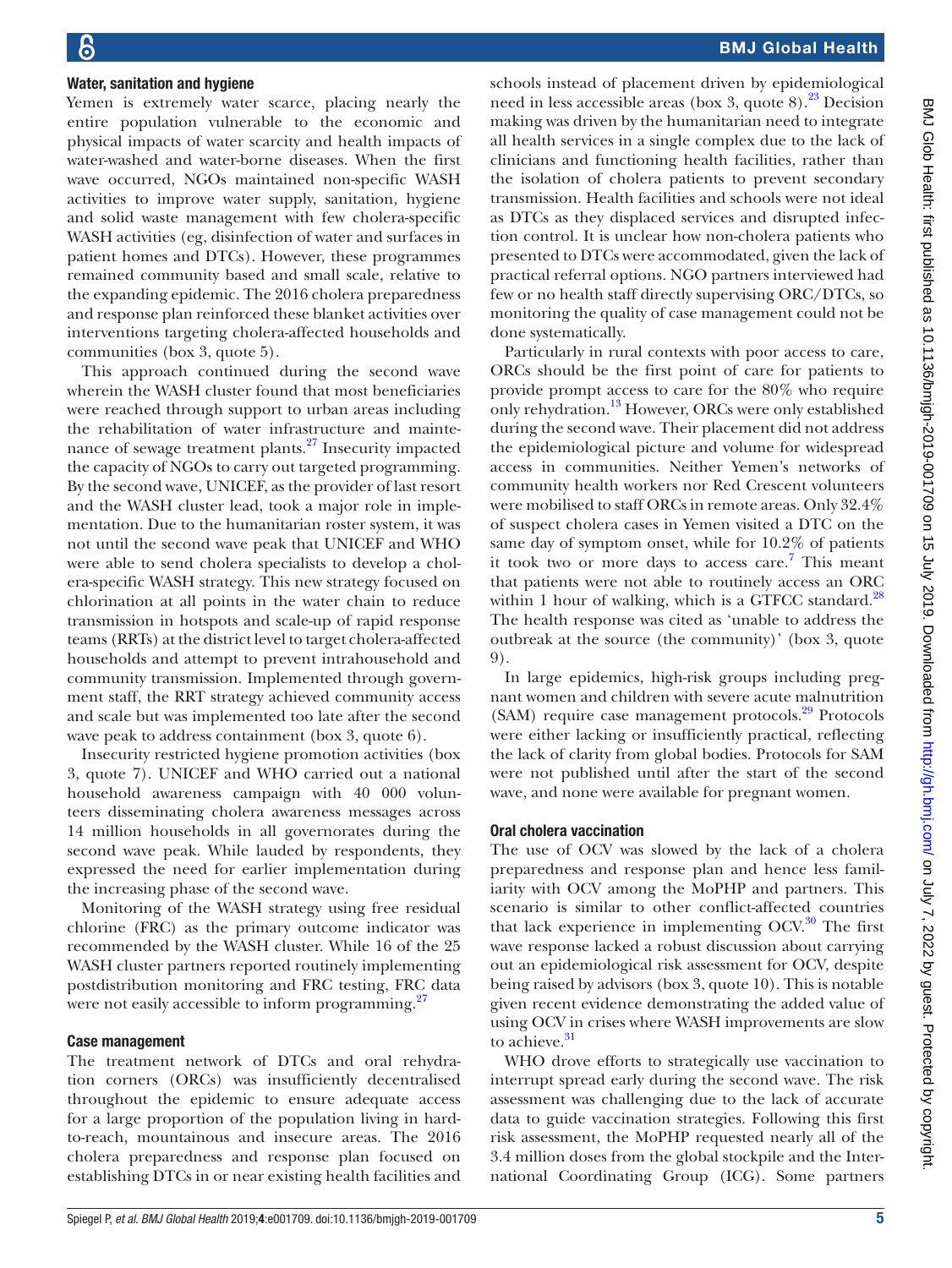#### Water, sanitation and hygiene

Yemen is extremely water scarce, placing nearly the entire population vulnerable to the economic and physical impacts of water scarcity and health impacts of water-washed and water-borne diseases. When the first wave occurred, NGOs maintained non-specific WASH activities to improve water supply, sanitation, hygiene and solid waste management with few cholera-specific WASH activities (eg, disinfection of water and surfaces in patient homes and DTCs). However, these programmes remained community based and small scale, relative to the expanding epidemic. The 2016 cholera preparedness and response plan reinforced these blanket activities over interventions targeting cholera-affected households and communities (box 3, quote 5).

This approach continued during the second wave wherein the WASH cluster found that most beneficiaries were reached through support to urban areas including the rehabilitation of water infrastructure and maintenance of sewage treatment plants.<sup>27</sup> Insecurity impacted the capacity of NGOs to carry out targeted programming. By the second wave, UNICEF, as the provider of last resort and the WASH cluster lead, took a major role in implementation. Due to the humanitarian roster system, it was not until the second wave peak that UNICEF and WHO were able to send cholera specialists to develop a cholera-specific WASH strategy. This new strategy focused on chlorination at all points in the water chain to reduce transmission in hotspots and scale-up of rapid response teams (RRTs) at the district level to target cholera-affected households and attempt to prevent intrahousehold and community transmission. Implemented through government staff, the RRT strategy achieved community access and scale but was implemented too late after the second wave peak to address containment (box 3, quote 6).

Insecurity restricted hygiene promotion activities (box 3, quote 7). UNICEF and WHO carried out a national household awareness campaign with 40 000 volunteers disseminating cholera awareness messages across 14 million households in all governorates during the second wave peak. While lauded by respondents, they expressed the need for earlier implementation during the increasing phase of the second wave.

Monitoring of the WASH strategy using free residual chlorine (FRC) as the primary outcome indicator was recommended by the WASH cluster. While 16 of the 25 WASH cluster partners reported routinely implementing postdistribution monitoring and FRC testing, FRC data were not easily accessible to inform programming.<sup>[27](#page-9-23)</sup>

#### Case management

The treatment network of DTCs and oral rehydration corners (ORCs) was insufficiently decentralised throughout the epidemic to ensure adequate access for a large proportion of the population living in hardto-reach, mountainous and insecure areas. The 2016 cholera preparedness and response plan focused on establishing DTCs in or near existing health facilities and

schools instead of placement driven by epidemiological need in less accessible areas (box 3, quote  $8$ ).<sup>23</sup> Decision making was driven by the humanitarian need to integrate all health services in a single complex due to the lack of clinicians and functioning health facilities, rather than the isolation of cholera patients to prevent secondary transmission. Health facilities and schools were not ideal as DTCs as they displaced services and disrupted infection control. It is unclear how non-cholera patients who presented to DTCs were accommodated, given the lack of practical referral options. NGO partners interviewed had few or no health staff directly supervising ORC/DTCs, so monitoring the quality of case management could not be done systematically.

Particularly in rural contexts with poor access to care, ORCs should be the first point of care for patients to provide prompt access to care for the 80% who require only rehydration.[13](#page-9-10) However, ORCs were only established during the second wave. Their placement did not address the epidemiological picture and volume for widespread access in communities. Neither Yemen's networks of community health workers nor Red Crescent volunteers were mobilised to staff ORCs in remote areas. Only 32.4% of suspect cholera cases in Yemen visited a DTC on the same day of symptom onset, while for 10.2% of patients it took two or more days to access care.<sup>[7](#page-9-4)</sup> This meant that patients were not able to routinely access an ORC within 1 hour of walking, which is a GTFCC standard. $^{28}$ The health response was cited as 'unable to address the outbreak at the source (the community)' (box 3, quote 9).

In large epidemics, high-risk groups including pregnant women and children with severe acute malnutrition (SAM) require case management protocols.<sup>29</sup> Protocols were either lacking or insufficiently practical, reflecting the lack of clarity from global bodies. Protocols for SAM were not published until after the start of the second wave, and none were available for pregnant women.

#### Oral cholera vaccination

The use of OCV was slowed by the lack of a cholera preparedness and response plan and hence less familiarity with OCV among the MoPHP and partners. This scenario is similar to other conflict-affected countries that lack experience in implementing OCV. $30$  The first wave response lacked a robust discussion about carrying out an epidemiological risk assessment for OCV, despite being raised by advisors (box 3, quote 10). This is notable given recent evidence demonstrating the added value of using OCV in crises where WASH improvements are slow to achieve.<sup>[31](#page-9-27)</sup>

WHO drove efforts to strategically use vaccination to interrupt spread early during the second wave. The risk assessment was challenging due to the lack of accurate data to guide vaccination strategies. Following this first risk assessment, the MoPHP requested nearly all of the 3.4 million doses from the global stockpile and the International Coordinating Group (ICG). Some partners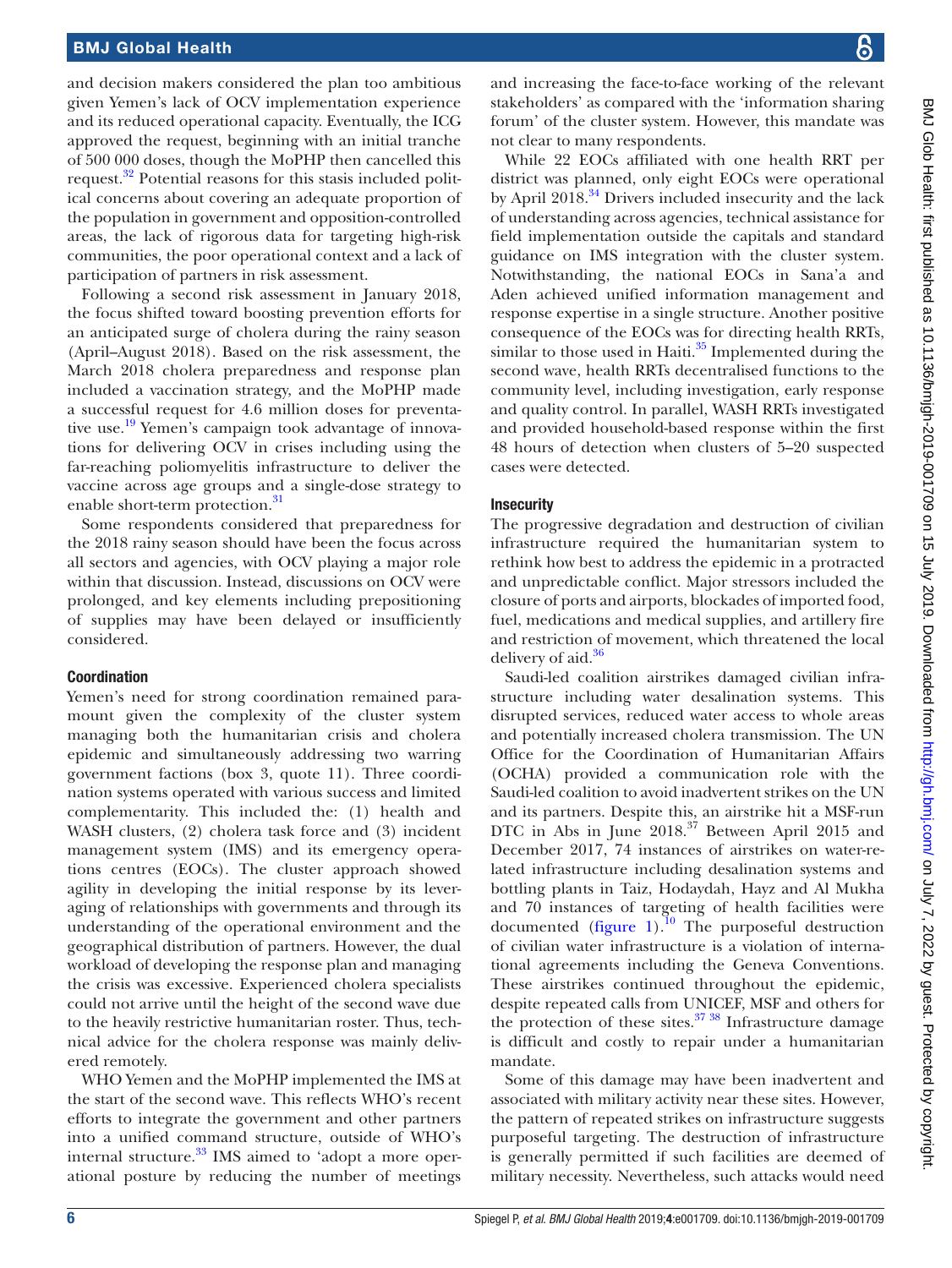and decision makers considered the plan too ambitious given Yemen's lack of OCV implementation experience and its reduced operational capacity. Eventually, the ICG approved the request, beginning with an initial tranche of 500 000 doses, though the MoPHP then cancelled this request.<sup>32</sup> Potential reasons for this stasis included political concerns about covering an adequate proportion of the population in government and opposition-controlled areas, the lack of rigorous data for targeting high-risk communities, the poor operational context and a lack of participation of partners in risk assessment.

Following a second risk assessment in January 2018, the focus shifted toward boosting prevention efforts for an anticipated surge of cholera during the rainy season (April–August 2018). Based on the risk assessment, the March 2018 cholera preparedness and response plan included a vaccination strategy, and the MoPHP made a successful request for 4.6 million doses for preventative use.<sup>19</sup> Yemen's campaign took advantage of innovations for delivering OCV in crises including using the far-reaching poliomyelitis infrastructure to deliver the vaccine across age groups and a single-dose strategy to enable short-term protection.<sup>[31](#page-9-27)</sup>

Some respondents considered that preparedness for the 2018 rainy season should have been the focus across all sectors and agencies, with OCV playing a major role within that discussion. Instead, discussions on OCV were prolonged, and key elements including prepositioning of supplies may have been delayed or insufficiently considered.

#### Coordination

Yemen's need for strong coordination remained paramount given the complexity of the cluster system managing both the humanitarian crisis and cholera epidemic and simultaneously addressing two warring government factions (box 3, quote 11). Three coordination systems operated with various success and limited complementarity. This included the: (1) health and WASH clusters, (2) cholera task force and (3) incident management system (IMS) and its emergency operations centres (EOCs). The cluster approach showed agility in developing the initial response by its leveraging of relationships with governments and through its understanding of the operational environment and the geographical distribution of partners. However, the dual workload of developing the response plan and managing the crisis was excessive. Experienced cholera specialists could not arrive until the height of the second wave due to the heavily restrictive humanitarian roster. Thus, technical advice for the cholera response was mainly delivered remotely.

WHO Yemen and the MoPHP implemented the IMS at the start of the second wave. This reflects WHO's recent efforts to integrate the government and other partners into a unified command structure, outside of WHO's internal structure. $33$  IMS aimed to 'adopt a more operational posture by reducing the number of meetings

and increasing the face-to-face working of the relevant stakeholders' as compared with the 'information sharing forum' of the cluster system. However, this mandate was not clear to many respondents.

While 22 EOCs affiliated with one health RRT per district was planned, only eight EOCs were operational by April 2018.<sup>[34](#page-9-30)</sup> Drivers included insecurity and the lack of understanding across agencies, technical assistance for field implementation outside the capitals and standard guidance on IMS integration with the cluster system. Notwithstanding, the national EOCs in Sana'a and Aden achieved unified information management and response expertise in a single structure. Another positive consequence of the EOCs was for directing health RRTs, similar to those used in Haiti. $35$  Implemented during the second wave, health RRTs decentralised functions to the community level, including investigation, early response and quality control. In parallel, WASH RRTs investigated and provided household-based response within the first 48 hours of detection when clusters of 5–20 suspected cases were detected.

# **Insecurity**

The progressive degradation and destruction of civilian infrastructure required the humanitarian system to rethink how best to address the epidemic in a protracted and unpredictable conflict. Major stressors included the closure of ports and airports, blockades of imported food, fuel, medications and medical supplies, and artillery fire and restriction of movement, which threatened the local delivery of aid.<sup>36</sup>

Saudi-led coalition airstrikes damaged civilian infrastructure including water desalination systems. This disrupted services, reduced water access to whole areas and potentially increased cholera transmission. The UN Office for the Coordination of Humanitarian Affairs (OCHA) provided a communication role with the Saudi-led coalition to avoid inadvertent strikes on the UN and its partners. Despite this, an airstrike hit a MSF-run DTC in Abs in June 2018.<sup>37</sup> Between April 2015 and December 2017, 74 instances of airstrikes on water-related infrastructure including desalination systems and bottling plants in Taiz, Hodaydah, Hayz and Al Mukha and 70 instances of targeting of health facilities were documented [\(figure](#page-6-0) 1).<sup>10</sup> The purposeful destruction of civilian water infrastructure is a violation of international agreements including the Geneva Conventions. These airstrikes continued throughout the epidemic, despite repeated calls from UNICEF, MSF and others for the protection of these sites. $37 \frac{38}{10}$  Infrastructure damage is difficult and costly to repair under a humanitarian mandate.

Some of this damage may have been inadvertent and associated with military activity near these sites. However, the pattern of repeated strikes on infrastructure suggests purposeful targeting. The destruction of infrastructure is generally permitted if such facilities are deemed of military necessity. Nevertheless, such attacks would need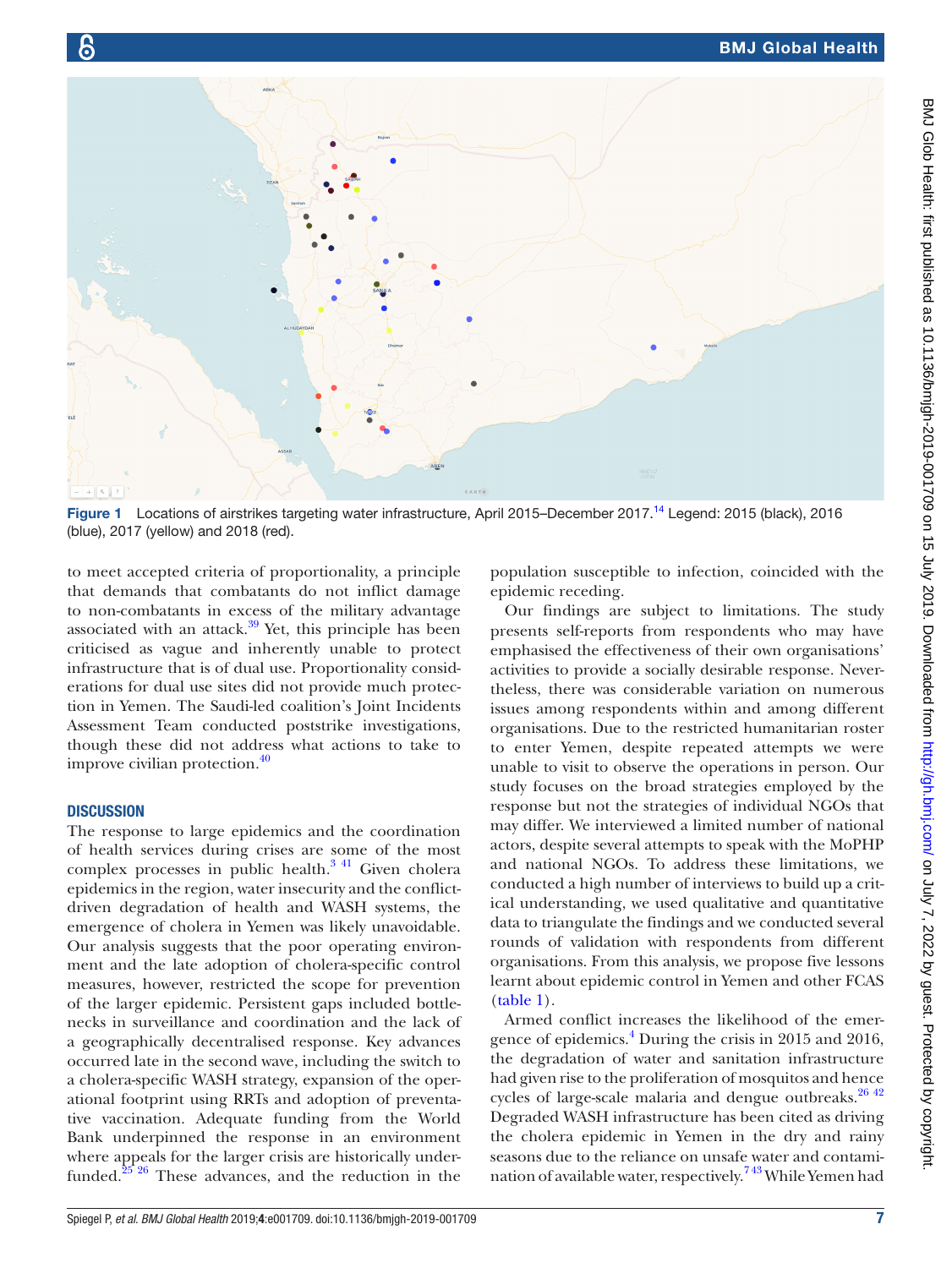



<span id="page-6-0"></span>Figure 1 Locations of airstrikes targeting water infrastructure, April 2015–December 2017.<sup>14</sup> Legend: 2015 (black), 2016 (blue), 2017 (yellow) and 2018 (red).

to meet accepted criteria of proportionality, a principle that demands that combatants do not inflict damage to non-combatants in excess of the military advantage associated with an attack. $39$  Yet, this principle has been criticised as vague and inherently unable to protect infrastructure that is of dual use. Proportionality considerations for dual use sites did not provide much protection in Yemen. The Saudi-led coalition's Joint Incidents Assessment Team conducted poststrike investigations, though these did not address what actions to take to improve civilian protection.<sup>40</sup>

# **DISCUSSION**

The response to large epidemics and the coordination of health services during crises are some of the most complex processes in public health. $3 \frac{41}{1}$  Given cholera epidemics in the region, water insecurity and the conflictdriven degradation of health and WASH systems, the emergence of cholera in Yemen was likely unavoidable. Our analysis suggests that the poor operating environment and the late adoption of cholera-specific control measures, however, restricted the scope for prevention of the larger epidemic. Persistent gaps included bottlenecks in surveillance and coordination and the lack of a geographically decentralised response. Key advances occurred late in the second wave, including the switch to a cholera-specific WASH strategy, expansion of the operational footprint using RRTs and adoption of preventative vaccination. Adequate funding from the World Bank underpinned the response in an environment where appeals for the larger crisis are historically underfunded. $25\frac{26}{10}$  These advances, and the reduction in the

population susceptible to infection, coincided with the epidemic receding.

Our findings are subject to limitations. The study presents self-reports from respondents who may have emphasised the effectiveness of their own organisations' activities to provide a socially desirable response. Nevertheless, there was considerable variation on numerous issues among respondents within and among different organisations. Due to the restricted humanitarian roster to enter Yemen, despite repeated attempts we were unable to visit to observe the operations in person. Our study focuses on the broad strategies employed by the response but not the strategies of individual NGOs that may differ. We interviewed a limited number of national actors, despite several attempts to speak with the MoPHP and national NGOs. To address these limitations, we conducted a high number of interviews to build up a critical understanding, we used qualitative and quantitative data to triangulate the findings and we conducted several rounds of validation with respondents from different organisations. From this analysis, we propose five lessons learnt about epidemic control in Yemen and other FCAS [\(table](#page-7-0) 1).

Armed conflict increases the likelihood of the emer-gence of epidemics.<sup>[4](#page-9-36)</sup> During the crisis in 2015 and 2016, the degradation of water and sanitation infrastructure had given rise to the proliferation of mosquitos and hence cycles of large-scale malaria and dengue outbreaks.<sup>[26 42](#page-9-37)</sup> Degraded WASH infrastructure has been cited as driving the cholera epidemic in Yemen in the dry and rainy seasons due to the reliance on unsafe water and contamination of available water, respectively.<sup>743</sup> While Yemen had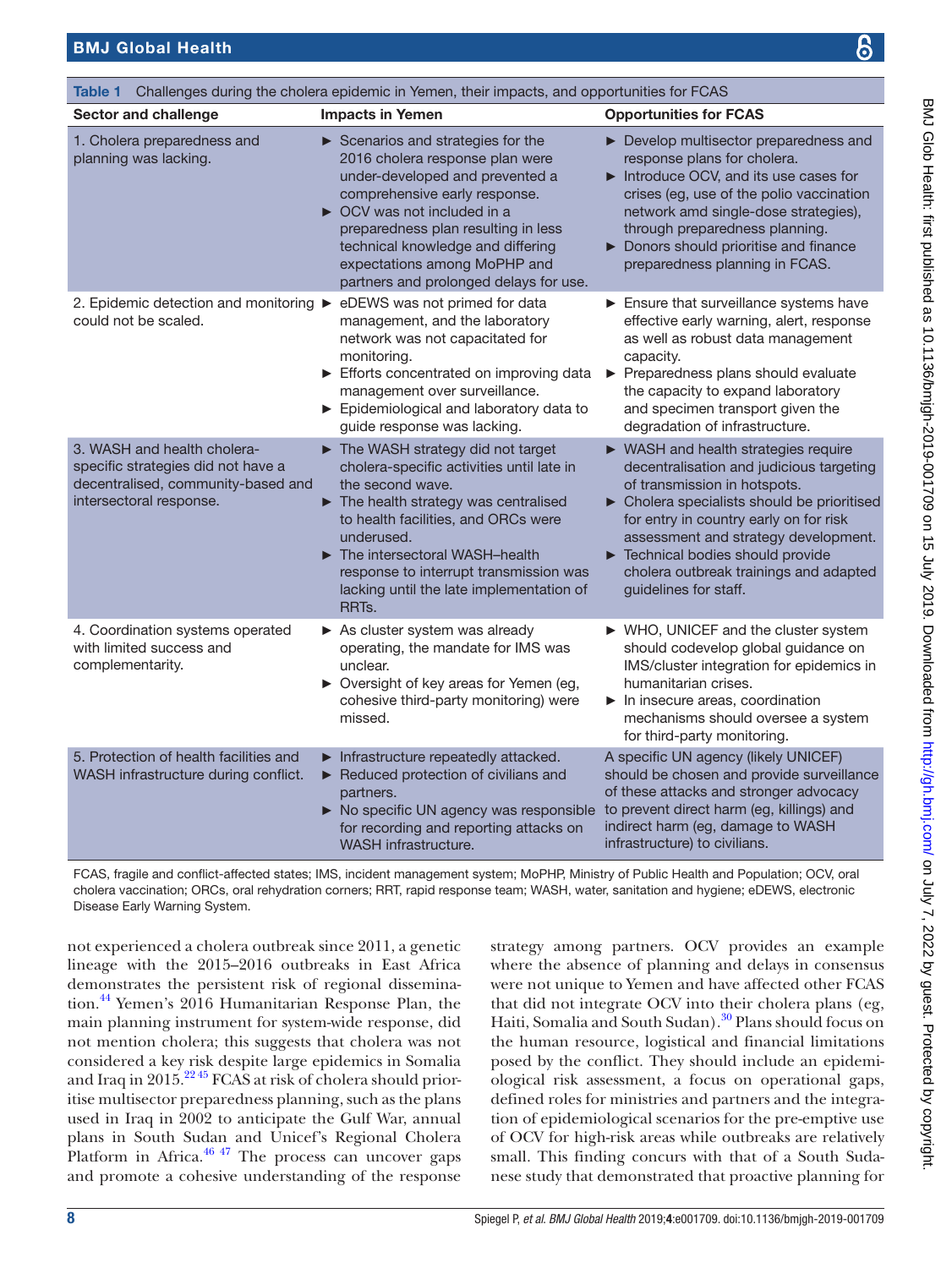<span id="page-7-0"></span>

| Challenges during the cholera epidemic in Yemen, their impacts, and opportunities for FCAS<br>Table 1                              |                                                                                                                                                                                                                                                                                                                                                                  |                                                                                                                                                                                                                                                                                                                                                                        |
|------------------------------------------------------------------------------------------------------------------------------------|------------------------------------------------------------------------------------------------------------------------------------------------------------------------------------------------------------------------------------------------------------------------------------------------------------------------------------------------------------------|------------------------------------------------------------------------------------------------------------------------------------------------------------------------------------------------------------------------------------------------------------------------------------------------------------------------------------------------------------------------|
| Sector and challenge                                                                                                               | <b>Impacts in Yemen</b>                                                                                                                                                                                                                                                                                                                                          | <b>Opportunities for FCAS</b>                                                                                                                                                                                                                                                                                                                                          |
| 1. Cholera preparedness and<br>planning was lacking.                                                                               | $\triangleright$ Scenarios and strategies for the<br>2016 cholera response plan were<br>under-developed and prevented a<br>comprehensive early response.<br>▶ OCV was not included in a<br>preparedness plan resulting in less<br>technical knowledge and differing<br>expectations among MoPHP and<br>partners and prolonged delays for use.                    | Develop multisector preparedness and<br>response plans for cholera.<br>Introduce OCV, and its use cases for<br>crises (eg, use of the polio vaccination<br>network amd single-dose strategies),<br>through preparedness planning.<br>Donors should prioritise and finance<br>preparedness planning in FCAS.                                                            |
| 2. Epidemic detection and monitoring ▶<br>could not be scaled.                                                                     | eDEWS was not primed for data<br>management, and the laboratory<br>network was not capacitated for<br>monitoring.<br>Efforts concentrated on improving data<br>management over surveillance.<br>Epidemiological and laboratory data to<br>guide response was lacking.                                                                                            | Ensure that surveillance systems have<br>effective early warning, alert, response<br>as well as robust data management<br>capacity.<br>Preparedness plans should evaluate<br>the capacity to expand laboratory<br>and specimen transport given the<br>degradation of infrastructure.                                                                                   |
| 3. WASH and health cholera-<br>specific strategies did not have a<br>decentralised, community-based and<br>intersectoral response. | The WASH strategy did not target<br>cholera-specific activities until late in<br>the second wave.<br>$\blacktriangleright$ The health strategy was centralised<br>to health facilities, and ORCs were<br>underused.<br>The intersectoral WASH-health<br>response to interrupt transmission was<br>lacking until the late implementation of<br>RRT <sub>s</sub> . | $\triangleright$ WASH and health strategies require<br>decentralisation and judicious targeting<br>of transmission in hotspots.<br>▶ Cholera specialists should be prioritised<br>for entry in country early on for risk<br>assessment and strategy development.<br>Technical bodies should provide<br>cholera outbreak trainings and adapted<br>guidelines for staff. |
| 4. Coordination systems operated<br>with limited success and<br>complementarity.                                                   | As cluster system was already<br>operating, the mandate for IMS was<br>unclear.<br>▶ Oversight of key areas for Yemen (eg,<br>cohesive third-party monitoring) were<br>missed.                                                                                                                                                                                   | ▶ WHO, UNICEF and the cluster system<br>should codevelop global guidance on<br>IMS/cluster integration for epidemics in<br>humanitarian crises.<br>In insecure areas, coordination<br>mechanisms should oversee a system<br>for third-party monitoring.                                                                                                                |
| 5. Protection of health facilities and<br>WASH infrastructure during conflict.                                                     | Infrastructure repeatedly attacked.<br>▶<br>Reduced protection of civilians and<br>partners.<br>▶ No specific UN agency was responsible<br>for recording and reporting attacks on<br><b>WASH</b> infrastructure.                                                                                                                                                 | A specific UN agency (likely UNICEF)<br>should be chosen and provide surveillance<br>of these attacks and stronger advocacy<br>to prevent direct harm (eg, killings) and<br>indirect harm (eg, damage to WASH<br>infrastructure) to civilians.                                                                                                                         |

FCAS, fragile and conflict-affected states; IMS, incident management system; MoPHP, Ministry of Public Health and Population; OCV, oral cholera vaccination; ORCs, oral rehydration corners; RRT, rapid response team; WASH, water, sanitation and hygiene; eDEWS, electronic Disease Early Warning System.

not experienced a cholera outbreak since 2011, a genetic lineage with the 2015–2016 outbreaks in East Africa demonstrates the persistent risk of regional dissemination.<sup>44</sup> Yemen's 2016 Humanitarian Response Plan, the main planning instrument for system-wide response, did not mention cholera; this suggests that cholera was not considered a key risk despite large epidemics in Somalia and Iraq in  $2015$ .<sup>2245</sup> FCAS at risk of cholera should prioritise multisector preparedness planning, such as the plans used in Iraq in 2002 to anticipate the Gulf War, annual plans in South Sudan and Unicef's Regional Cholera Platform in Africa. $46 \frac{47}{7}$  The process can uncover gaps and promote a cohesive understanding of the response

strategy among partners. OCV provides an example where the absence of planning and delays in consensus were not unique to Yemen and have affected other FCAS that did not integrate OCV into their cholera plans (eg, Haiti, Somalia and South Sudan).<sup>[30](#page-9-26)</sup> Plans should focus on the human resource, logistical and financial limitations posed by the conflict. They should include an epidemiological risk assessment, a focus on operational gaps, defined roles for ministries and partners and the integration of epidemiological scenarios for the pre-emptive use of OCV for high-risk areas while outbreaks are relatively small. This finding concurs with that of a South Sudanese study that demonstrated that proactive planning for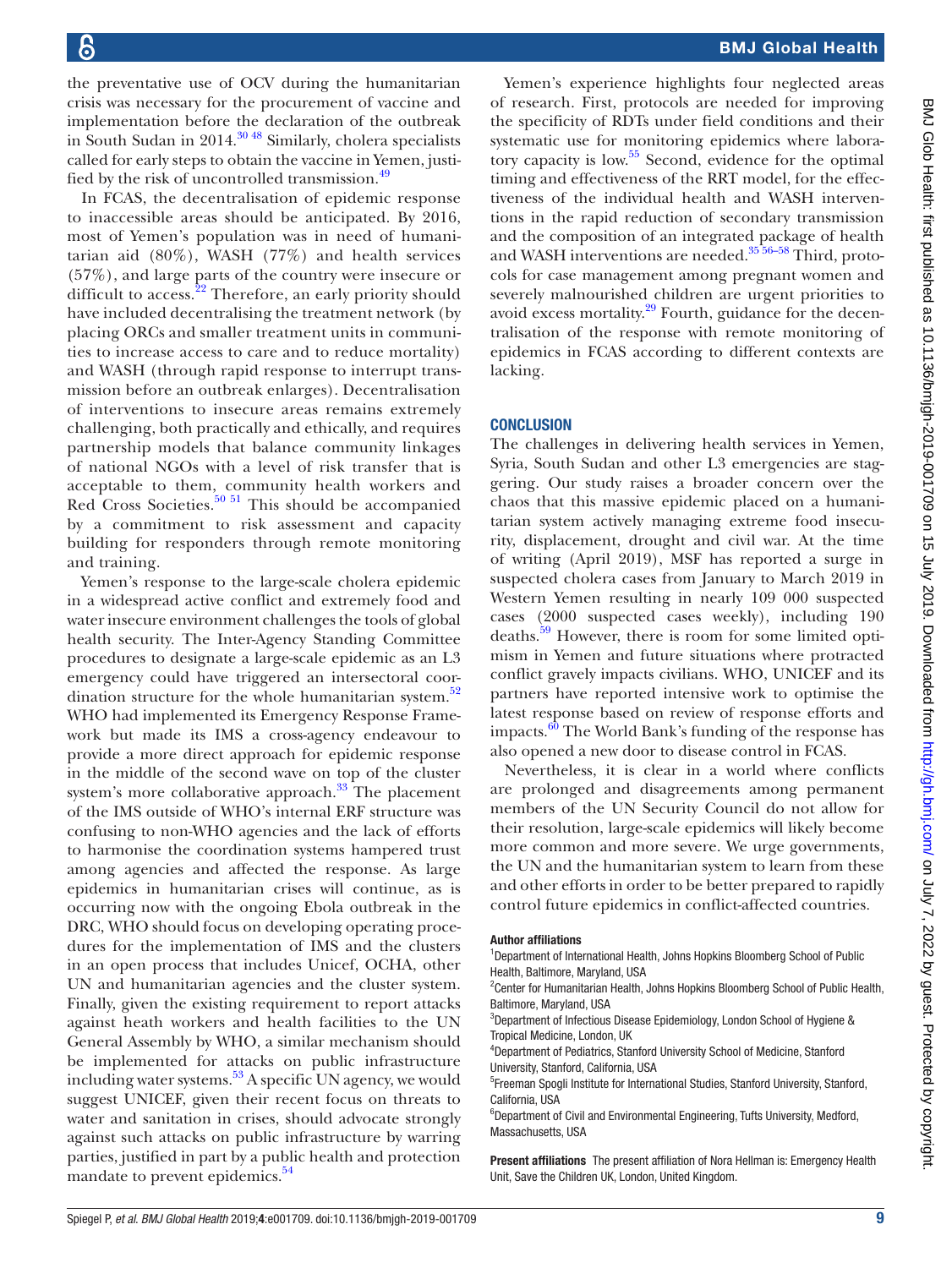the preventative use of OCV during the humanitarian crisis was necessary for the procurement of vaccine and implementation before the declaration of the outbreak in South Sudan in  $2014$ .<sup>3048</sup> Similarly, cholera specialists called for early steps to obtain the vaccine in Yemen, justified by the risk of uncontrolled transmission.<sup>49</sup>

In FCAS, the decentralisation of epidemic response to inaccessible areas should be anticipated. By 2016, most of Yemen's population was in need of humanitarian aid (80%), WASH (77%) and health services (57%), and large parts of the country were insecure or difficult to access.<sup>[22](#page-9-19)</sup> Therefore, an early priority should have included decentralising the treatment network (by placing ORCs and smaller treatment units in communities to increase access to care and to reduce mortality) and WASH (through rapid response to interrupt transmission before an outbreak enlarges). Decentralisation of interventions to insecure areas remains extremely challenging, both practically and ethically, and requires partnership models that balance community linkages of national NGOs with a level of risk transfer that is acceptable to them, community health workers and Red Cross Societies.<sup>[50 51](#page-10-1)</sup> This should be accompanied by a commitment to risk assessment and capacity building for responders through remote monitoring and training.

Yemen's response to the large-scale cholera epidemic in a widespread active conflict and extremely food and water insecure environment challenges the tools of global health security. The Inter-Agency Standing Committee procedures to designate a large-scale epidemic as an L3 emergency could have triggered an intersectoral coordination structure for the whole humanitarian system. $52$ WHO had implemented its Emergency Response Framework but made its IMS a cross-agency endeavour to provide a more direct approach for epidemic response in the middle of the second wave on top of the cluster system's more collaborative approach. $33$  The placement of the IMS outside of WHO's internal ERF structure was confusing to non-WHO agencies and the lack of efforts to harmonise the coordination systems hampered trust among agencies and affected the response. As large epidemics in humanitarian crises will continue, as is occurring now with the ongoing Ebola outbreak in the DRC, WHO should focus on developing operating procedures for the implementation of IMS and the clusters in an open process that includes Unicef, OCHA, other UN and humanitarian agencies and the cluster system. Finally, given the existing requirement to report attacks against heath workers and health facilities to the UN General Assembly by WHO, a similar mechanism should be implemented for attacks on public infrastructure including water systems.[53](#page-10-3) A specific UN agency, we would suggest UNICEF, given their recent focus on threats to water and sanitation in crises, should advocate strongly against such attacks on public infrastructure by warring parties, justified in part by a public health and protection mandate to prevent epidemics.<sup>[54](#page-10-4)</sup>

Yemen's experience highlights four neglected areas of research. First, protocols are needed for improving the specificity of RDTs under field conditions and their systematic use for monitoring epidemics where laboratory capacity is low.[55](#page-10-5) Second, evidence for the optimal timing and effectiveness of the RRT model, for the effectiveness of the individual health and WASH interventions in the rapid reduction of secondary transmission and the composition of an integrated package of health and WASH interventions are needed.<sup>3556-58</sup> Third, protocols for case management among pregnant women and severely malnourished children are urgent priorities to avoid excess mortality.<sup>29</sup> Fourth, guidance for the decentralisation of the response with remote monitoring of epidemics in FCAS according to different contexts are lacking.

# **CONCLUSION**

The challenges in delivering health services in Yemen, Syria, South Sudan and other L3 emergencies are staggering. Our study raises a broader concern over the chaos that this massive epidemic placed on a humanitarian system actively managing extreme food insecurity, displacement, drought and civil war. At the time of writing (April 2019), MSF has reported a surge in suspected cholera cases from January to March 2019 in Western Yemen resulting in nearly 109 000 suspected cases (2000 suspected cases weekly), including 190 deaths.<sup>59</sup> However, there is room for some limited optimism in Yemen and future situations where protracted conflict gravely impacts civilians. WHO, UNICEF and its partners have reported intensive work to optimise the latest response based on review of response efforts and impacts.<sup>60</sup> The World Bank's funding of the response has also opened a new door to disease control in FCAS.

Nevertheless, it is clear in a world where conflicts are prolonged and disagreements among permanent members of the UN Security Council do not allow for their resolution, large-scale epidemics will likely become more common and more severe. We urge governments, the UN and the humanitarian system to learn from these and other efforts in order to be better prepared to rapidly control future epidemics in conflict-affected countries.

#### Author affiliations

<sup>1</sup>Department of International Health, Johns Hopkins Bloomberg School of Public Health, Baltimore, Maryland, USA

<sup>2</sup> Center for Humanitarian Health, Johns Hopkins Bloomberg School of Public Health, Baltimore, Maryland, USA

<sup>3</sup>Department of Infectious Disease Epidemiology, London School of Hygiene & Tropical Medicine, London, UK

4 Department of Pediatrics, Stanford University School of Medicine, Stanford University, Stanford, California, USA

<sup>5</sup> Freeman Spogli Institute for International Studies, Stanford University, Stanford, California, USA

<sup>6</sup>Department of Civil and Environmental Engineering, Tufts University, Medford, Massachusetts, USA

Present affiliations The present affiliation of Nora Hellman is: Emergency Health Unit, Save the Children UK, London, United Kingdom.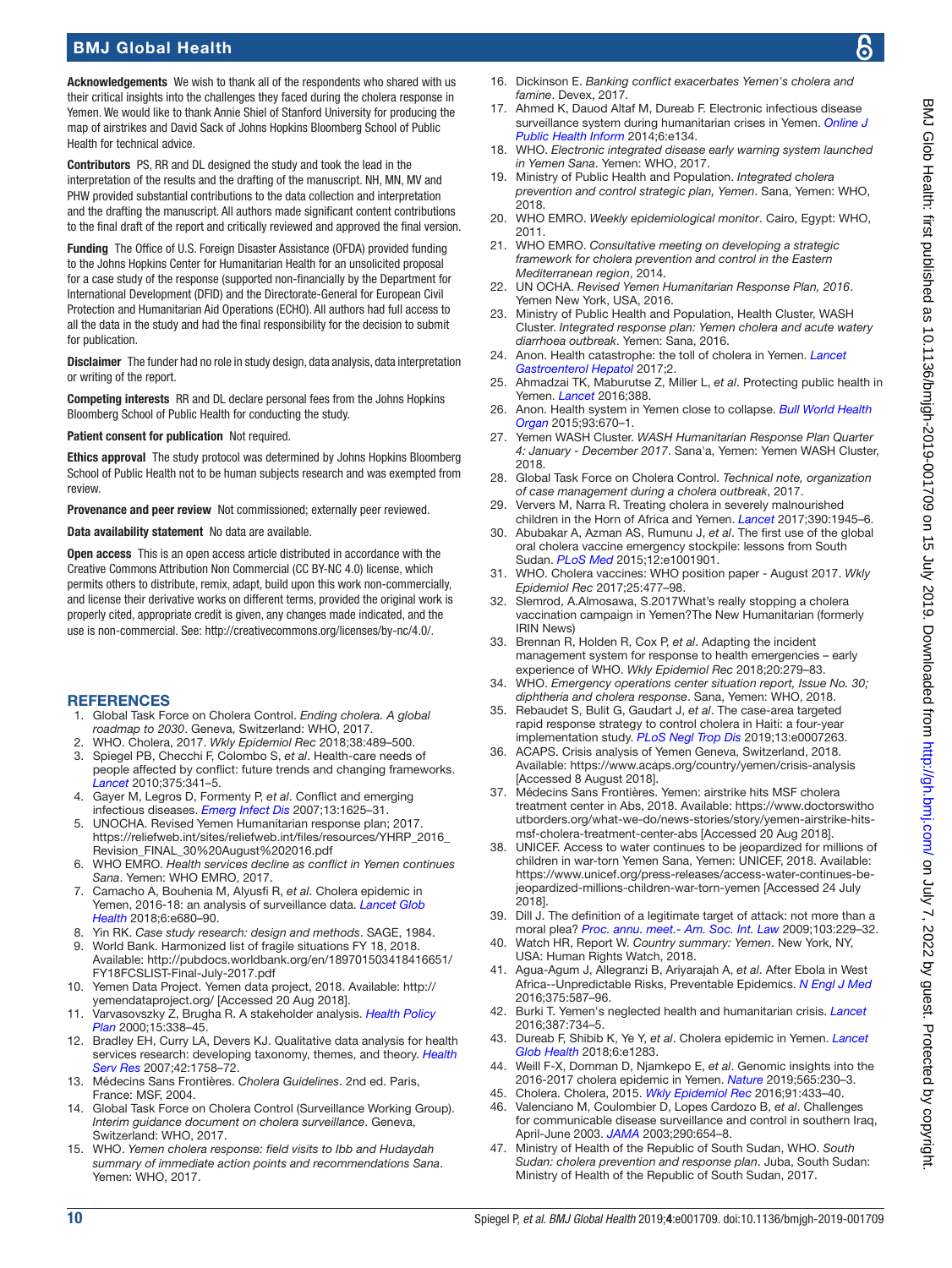BMJ Glob Health: first published as 10.1136/bmjgh-2019-001709 on 15 July 2019. Downloaded from http://gh.bmj.com/ on July 7, 2022 by guest. Protected by copyright BMJ Glob Health: first published as 10.1136/bmjgh-2019-001709 on 15 July 2019. Downloaded from buhlip://gh.bmj.com/ on July 7, 2022 by guest. Protected by copyright

Acknowledgements We wish to thank all of the respondents who shared with us their critical insights into the challenges they faced during the cholera response in Yemen. We would like to thank Annie Shiel of Stanford University for producing the map of airstrikes and David Sack of Johns Hopkins Bloomberg School of Public Health for technical advice.

Contributors PS, RR and DL designed the study and took the lead in the interpretation of the results and the drafting of the manuscript. NH, MN, MV and PHW provided substantial contributions to the data collection and interpretation and the drafting the manuscript. All authors made significant content contributions to the final draft of the report and critically reviewed and approved the final version.

Funding The Office of U.S. Foreign Disaster Assistance (OFDA) provided funding to the Johns Hopkins Center for Humanitarian Health for an unsolicited proposal for a case study of the response (supported non-financially by the Department for International Development (DFID) and the Directorate-General for European Civil Protection and Humanitarian Aid Operations (ECHO). All authors had full access to all the data in the study and had the final responsibility for the decision to submit for publication.

Disclaimer The funder had no role in study design, data analysis, data interpretation or writing of the report.

Competing interests RR and DL declare personal fees from the Johns Hopkins Bloomberg School of Public Health for conducting the study.

Patient consent for publication Not required.

Ethics approval The study protocol was determined by Johns Hopkins Bloomberg School of Public Health not to be human subjects research and was exempted from review.

Provenance and peer review Not commissioned; externally peer reviewed.

Data availability statement No data are available.

Open access This is an open access article distributed in accordance with the Creative Commons Attribution Non Commercial (CC BY-NC 4.0) license, which permits others to distribute, remix, adapt, build upon this work non-commercially, and license their derivative works on different terms, provided the original work is properly cited, appropriate credit is given, any changes made indicated, and the use is non-commercial. See: [http://creativecommons.org/licenses/by-nc/4.0/.](http://creativecommons.org/licenses/by-nc/4.0/)

# **REFERENCES**

- <span id="page-9-0"></span>1. Global Task Force on Cholera Control. *Ending cholera. A global roadmap to 2030*. Geneva, Switzerland: WHO, 2017.
- <span id="page-9-1"></span>2. WHO. Cholera, 2017. *Wkly Epidemiol Rec* 2018;38:489–500.
- <span id="page-9-2"></span>3. Spiegel PB, Checchi F, Colombo S, *et al*. Health-care needs of people affected by conflict: future trends and changing frameworks. *[Lancet](http://dx.doi.org/10.1016/S0140-6736(09)61873-0)* 2010;375:341–5.
- <span id="page-9-36"></span>4. Gayer M, Legros D, Formenty P, *et al*. Conflict and emerging infectious diseases. *[Emerg Infect Dis](http://dx.doi.org/10.3201/eid1311.061093)* 2007;13:1625–31.
- <span id="page-9-3"></span>5. UNOCHA. Revised Yemen Humanitarian response plan; 2017. [https://reliefweb.int/sites/reliefweb.int/files/resources/YHRP\\_2016\\_](https://reliefweb.int/sites/reliefweb.int/files/resources/YHRP_2016_Revision_FINAL_30%20August%202016.pdf) [Revision\\_FINAL\\_30%20August%202016.pdf](https://reliefweb.int/sites/reliefweb.int/files/resources/YHRP_2016_Revision_FINAL_30%20August%202016.pdf)
- 6. WHO EMRO. *Health services decline as conflict in Yemen continues Sana*. Yemen: WHO EMRO, 2017.
- <span id="page-9-4"></span>7. Camacho A, Bouhenia M, Alyusfi R, *et al*. Cholera epidemic in Yemen, 2016-18: an analysis of surveillance data. *[Lancet Glob](http://dx.doi.org/10.1016/S2214-109X(18)30230-4)  [Health](http://dx.doi.org/10.1016/S2214-109X(18)30230-4)* 2018;6:e680–90.
- <span id="page-9-5"></span>8. Yin RK. *Case study research: design and methods*. SAGE, 1984.
- <span id="page-9-6"></span>9. World Bank. Harmonized list of fragile situations FY 18, 2018. Available: [http://pubdocs.worldbank.org/en/189701503418416651/](http://pubdocs.worldbank.org/en/189701503418416651/FY18FCSLIST-Final-July-2017.pdf) [FY18FCSLIST-Final-July-2017.pdf](http://pubdocs.worldbank.org/en/189701503418416651/FY18FCSLIST-Final-July-2017.pdf)
- <span id="page-9-7"></span>10. Yemen Data Project. Yemen data project, 2018. Available: [http://](http://yemendataproject.org/) [yemendataproject.org/](http://yemendataproject.org/) [Accessed 20 Aug 2018].
- <span id="page-9-8"></span>11. Varvasovszky Z, Brugha R. A stakeholder analysis. *[Health Policy](http://dx.doi.org/10.1093/heapol/15.3.338)  [Plan](http://dx.doi.org/10.1093/heapol/15.3.338)* 2000;15:338–45.
- <span id="page-9-9"></span>12. Bradley EH, Curry LA, Devers KJ. Qualitative data analysis for health services research: developing taxonomy, themes, and theory. *[Health](http://dx.doi.org/10.1111/j.1475-6773.2006.00684.x)  [Serv Res](http://dx.doi.org/10.1111/j.1475-6773.2006.00684.x)* 2007;42:1758–72.
- <span id="page-9-10"></span>13. Médecins Sans Frontières. *Cholera Guidelines*. 2nd ed. Paris, France: MSF, 2004.
- <span id="page-9-11"></span>14. Global Task Force on Cholera Control (Surveillance Working Group). *Interim guidance document on cholera surveillance*. Geneva, Switzerland: WHO, 2017.
- <span id="page-9-12"></span>15. WHO. *Yemen cholera response: field visits to Ibb and Hudaydah summary of immediate action points and recommendations Sana*. Yemen: WHO, 2017.
- <span id="page-9-13"></span>16. Dickinson E. *Banking conflict exacerbates Yemen's cholera and famine*. Devex, 2017.
- <span id="page-9-14"></span>17. Ahmed K, Dauod Altaf M, Dureab F. Electronic infectious disease surveillance system during humanitarian crises in Yemen. *[Online J](http://dx.doi.org/10.5210/ojphi.v6i1.5083)  [Public Health Inform](http://dx.doi.org/10.5210/ojphi.v6i1.5083)* 2014;6:e134.
- <span id="page-9-15"></span>18. WHO. *Electronic integrated disease early warning system launched in Yemen Sana*. Yemen: WHO, 2017.
- <span id="page-9-16"></span>19. Ministry of Public Health and Population. *Integrated cholera prevention and control strategic plan, Yemen*. Sana, Yemen: WHO, 2018.
- <span id="page-9-17"></span>20. WHO EMRO. *Weekly epidemiological monitor*. Cairo, Egypt: WHO, 2011.
- <span id="page-9-18"></span>21. WHO EMRO. *Consultative meeting on developing a strategic framework for cholera prevention and control in the Eastern Mediterranean region*, 2014.
- <span id="page-9-19"></span>22. UN OCHA. *Revised Yemen Humanitarian Response Plan, 2016*. Yemen New York, USA, 2016.
- <span id="page-9-20"></span>23. Ministry of Public Health and Population, Health Cluster, WASH Cluster. *Integrated response plan: Yemen cholera and acute watery diarrhoea outbreak*. Yemen: Sana, 2016.
- <span id="page-9-21"></span>24. Anon. Health catastrophe: the toll of cholera in Yemen. *[Lancet](http://dx.doi.org/10.1016/S2468-1253(17)30224-8)  [Gastroenterol Hepatol](http://dx.doi.org/10.1016/S2468-1253(17)30224-8)* 2017;2.
- <span id="page-9-22"></span>25. Ahmadzai TK, Maburutse Z, Miller L, *et al*. Protecting public health in Yemen. *[Lancet](http://dx.doi.org/10.1016/S0140-6736(16)32422-9)* 2016;388.
- <span id="page-9-37"></span>26. Anon. Health system in Yemen close to collapse. *[Bull World Health](http://dx.doi.org/10.2471/BLT.15.021015)  [Organ](http://dx.doi.org/10.2471/BLT.15.021015)* 2015;93:670–1.
- <span id="page-9-23"></span>27. Yemen WASH Cluster. *WASH Humanitarian Response Plan Quarter 4: January - December 2017*. Sana'a, Yemen: Yemen WASH Cluster, 2018.
- <span id="page-9-24"></span>28. Global Task Force on Cholera Control. *Technical note, organization of case management during a cholera outbreak*, 2017.
- <span id="page-9-25"></span>29. Ververs M, Narra R. Treating cholera in severely malnourished children in the Horn of Africa and Yemen. *[Lancet](http://dx.doi.org/10.1016/S0140-6736(17)32601-6)* 2017;390:1945–6.
- <span id="page-9-26"></span>30. Abubakar A, Azman AS, Rumunu J, *et al*. The first use of the global oral cholera vaccine emergency stockpile: lessons from South Sudan. *[PLoS Med](http://dx.doi.org/10.1371/journal.pmed.1001901)* 2015;12:e1001901.
- <span id="page-9-27"></span>31. WHO. Cholera vaccines: WHO position paper - August 2017. *Wkly Epidemiol Rec* 2017;25:477–98.
- <span id="page-9-28"></span>32. Slemrod, A.Almosawa, S.2017What's really stopping a cholera vaccination campaign in Yemen?The New Humanitarian (formerly IRIN News)
- <span id="page-9-29"></span>33. Brennan R, Holden R, Cox P, *et al*. Adapting the incident management system for response to health emergencies – early experience of WHO. *Wkly Epidemiol Rec* 2018;20:279–83.
- <span id="page-9-30"></span>34. WHO. *Emergency operations center situation report, Issue No. 30; diphtheria and cholera response*. Sana, Yemen: WHO, 2018.
- <span id="page-9-31"></span>35. Rebaudet S, Bulit G, Gaudart J, *et al*. The case-area targeted rapid response strategy to control cholera in Haiti: a four-year implementation study. *[PLoS Negl Trop Dis](http://dx.doi.org/10.1371/journal.pntd.0007263)* 2019;13:e0007263.
- <span id="page-9-32"></span>36. ACAPS. Crisis analysis of Yemen Geneva, Switzerland, 2018. Available: <https://www.acaps.org/country/yemen/crisis-analysis> [Accessed 8 August 2018].
- <span id="page-9-33"></span>37. Médecins Sans Frontières. Yemen: airstrike hits MSF cholera treatment center in Abs, 2018. Available: [https://www.doctorswitho](https://www.doctorswithoutborders.org/what-we-do/news-stories/story/yemen-airstrike-hits-msf-cholera-treatment-center-abs) [utborders.org/what-we-do/news-stories/story/yemen-airstrike-hits](https://www.doctorswithoutborders.org/what-we-do/news-stories/story/yemen-airstrike-hits-msf-cholera-treatment-center-abs)[msf-cholera-treatment-center-abs](https://www.doctorswithoutborders.org/what-we-do/news-stories/story/yemen-airstrike-hits-msf-cholera-treatment-center-abs) [Accessed 20 Aug 2018].
- 38. UNICEF. Access to water continues to be jeopardized for millions of children in war-torn Yemen Sana, Yemen: UNICEF, 2018. Available: [https://www.unicef.org/press-releases/access-water-continues-be](https://www.unicef.org/press-releases/access-water-continues-be-jeopardized-millions-children-war-torn-yemen)[jeopardized-millions-children-war-torn-yemen](https://www.unicef.org/press-releases/access-water-continues-be-jeopardized-millions-children-war-torn-yemen) [Accessed 24 July 2018].
- <span id="page-9-34"></span>39. Dill J. The definition of a legitimate target of attack: not more than a moral plea? *[Proc. annu. meet.- Am. Soc. Int. Law](http://dx.doi.org/10.1017/S0272503700034169)* 2009;103:229–32.
- <span id="page-9-35"></span>40. Watch HR, Report W. *Country summary: Yemen*. New York, NY, USA: Human Rights Watch, 2018.
- 41. Agua-Agum J, Allegranzi B, Ariyarajah A, *et al*. After Ebola in West Africa--Unpredictable Risks, Preventable Epidemics. *[N Engl J Med](http://dx.doi.org/10.1056/NEJMsr1513109)* 2016;375:587–96.
- 42. Burki T. Yemen's neglected health and humanitarian crisis. *[Lancet](http://dx.doi.org/10.1016/S0140-6736(16)00389-5)* 2016;387:734–5.
- 43. Dureab F, Shibib K, Ye Y, *et al*. Cholera epidemic in Yemen. *[Lancet](http://dx.doi.org/10.1016/S2214-109X(18)30393-0)  [Glob Health](http://dx.doi.org/10.1016/S2214-109X(18)30393-0)* 2018;6:e1283.
- <span id="page-9-38"></span>44. Weill F-X, Domman D, Njamkepo E, *et al*. Genomic insights into the 2016-2017 cholera epidemic in Yemen. *[Nature](http://dx.doi.org/10.1038/s41586-018-0818-3)* 2019;565:230–3.
- 45. Cholera. Cholera, 2015. *[Wkly Epidemiol Rec](http://www.ncbi.nlm.nih.gov/pubmed/27665620)* 2016;91:433–40.
- <span id="page-9-39"></span>46. Valenciano M, Coulombier D, Lopes Cardozo B, *et al*. Challenges for communicable disease surveillance and control in southern Iraq, April-June 2003. *[JAMA](http://dx.doi.org/10.1001/jama.290.5.654)* 2003;290:654–8.
- 47. Ministry of Health of the Republic of South Sudan, WHO. *South Sudan: cholera prevention and response plan*. Juba, South Sudan: Ministry of Health of the Republic of South Sudan, 2017.